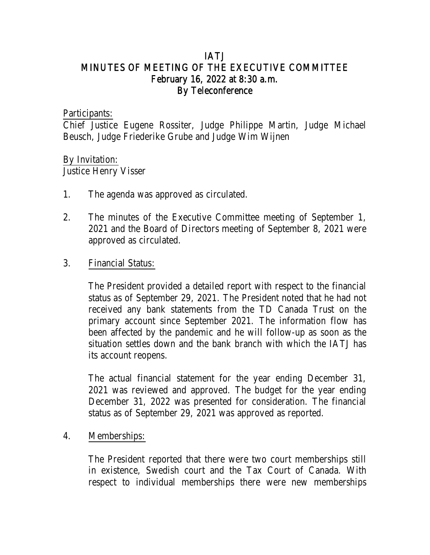## IATJ MINUTES OF MEETING OF THE EXECUTIVE COMMITTEE February 16, 2022 at 8:30 a.m. By Teleconference

Participants:

Chief Justice Eugene Rossiter, Judge Philippe Martin, Judge Michael Beusch, Judge Friederike Grube and Judge Wim Wijnen

## By Invitation:

Justice Henry Visser

- 1. The agenda was approved as circulated.
- 2. The minutes of the Executive Committee meeting of September 1, 2021 and the Board of Directors meeting of September 8, 2021 were approved as circulated.

### 3. Financial Status:

The President provided a detailed report with respect to the financial status as of September 29, 2021. The President noted that he had not received any bank statements from the TD Canada Trust on the primary account since September 2021. The information flow has been affected by the pandemic and he will follow-up as soon as the situation settles down and the bank branch with which the IATJ has its account reopens.

The actual financial statement for the year ending December 31, 2021 was reviewed and approved. The budget for the year ending December 31, 2022 was presented for consideration. The financial status as of September 29, 2021 was approved as reported.

#### 4. Memberships:

The President reported that there were two court memberships still in existence, Swedish court and the Tax Court of Canada. With respect to individual memberships there were new memberships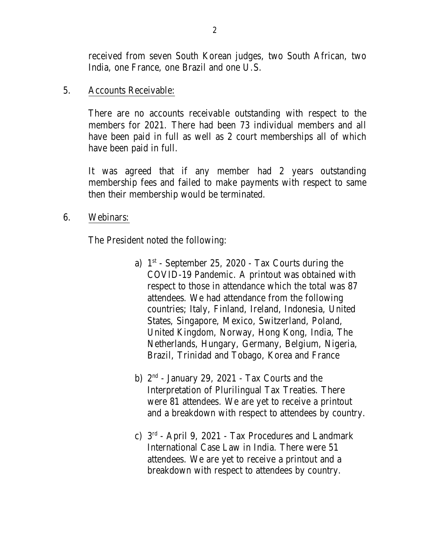received from seven South Korean judges, two South African, two India, one France, one Brazil and one U.S.

#### 5. Accounts Receivable:

There are no accounts receivable outstanding with respect to the members for 2021. There had been 73 individual members and all have been paid in full as well as 2 court memberships all of which have been paid in full.

It was agreed that if any member had 2 years outstanding membership fees and failed to make payments with respect to same then their membership would be terminated.

#### 6. Webinars:

The President noted the following:

- a) 1<sup>st</sup> September 25, 2020 Tax Courts during the COVID-19 Pandemic. A printout was obtained with respect to those in attendance which the total was 87 attendees. We had attendance from the following countries; Italy, Finland, Ireland, Indonesia, United States, Singapore, Mexico, Switzerland, Poland, United Kingdom, Norway, Hong Kong, India, The Netherlands, Hungary, Germany, Belgium, Nigeria, Brazil, Trinidad and Tobago, Korea and France
- b) 2<sup>nd</sup> January 29, 2021 Tax Courts and the Interpretation of Plurilingual Tax Treaties. There were 81 attendees. We are yet to receive a printout and a breakdown with respect to attendees by country.
- c) 3<sup>rd</sup> April 9, 2021 Tax Procedures and Landmark International Case Law in India. There were 51 attendees. We are yet to receive a printout and a breakdown with respect to attendees by country.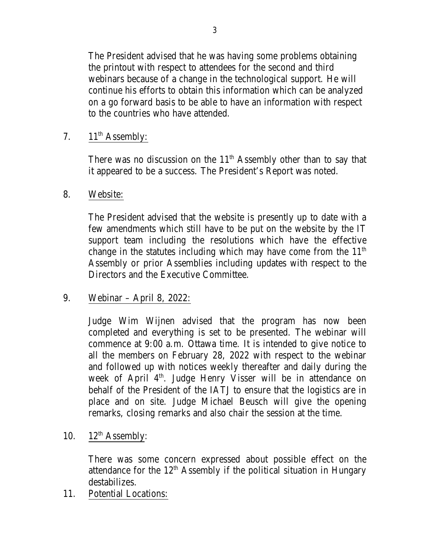The President advised that he was having some problems obtaining the printout with respect to attendees for the second and third webinars because of a change in the technological support. He will continue his efforts to obtain this information which can be analyzed on a go forward basis to be able to have an information with respect to the countries who have attended.

# 7. 11<sup>th</sup> Assembly:

There was no discussion on the  $11<sup>th</sup>$  Assembly other than to say that it appeared to be a success. The President's Report was noted.

## 8. Website:

The President advised that the website is presently up to date with a few amendments which still have to be put on the website by the IT support team including the resolutions which have the effective change in the statutes including which may have come from the  $11<sup>th</sup>$ Assembly or prior Assemblies including updates with respect to the Directors and the Executive Committee.

# 9. Webinar – April 8, 2022:

Judge Wim Wijnen advised that the program has now been completed and everything is set to be presented. The webinar will commence at 9:00 a.m. Ottawa time. It is intended to give notice to all the members on February 28, 2022 with respect to the webinar and followed up with notices weekly thereafter and daily during the week of April 4<sup>th</sup>. Judge Henry Visser will be in attendance on behalf of the President of the IATJ to ensure that the logistics are in place and on site. Judge Michael Beusch will give the opening remarks, closing remarks and also chair the session at the time.

10. 12<sup>th</sup> Assembly:

There was some concern expressed about possible effect on the attendance for the  $12<sup>th</sup>$  Assembly if the political situation in Hungary destabilizes.

11. Potential Locations: